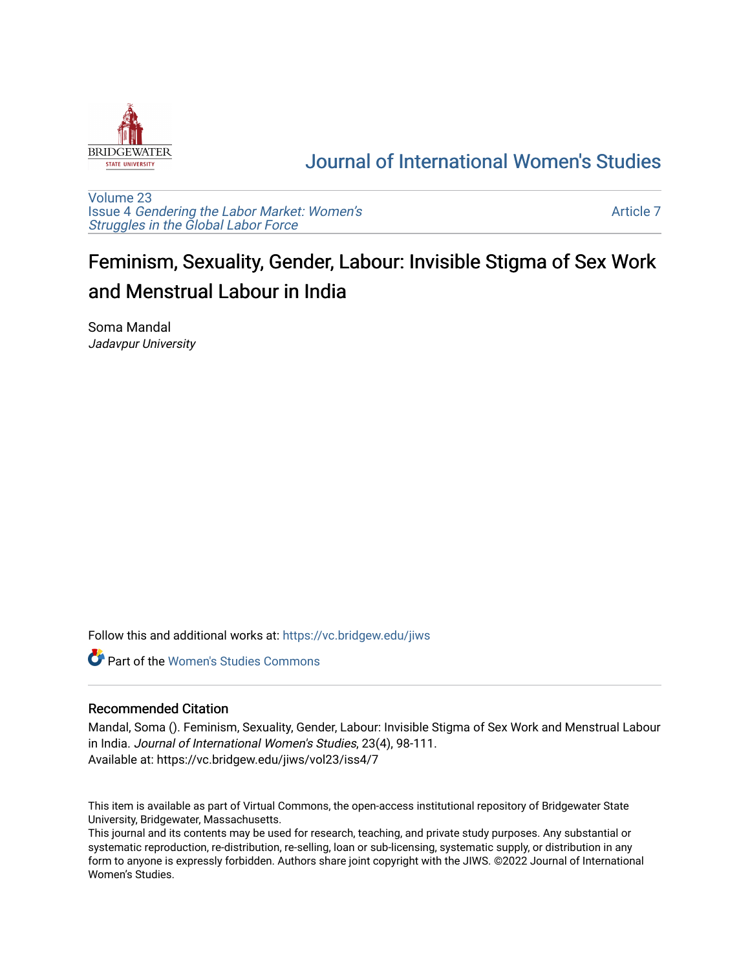

## [Journal of International Women's Studies](https://vc.bridgew.edu/jiws)

[Volume 23](https://vc.bridgew.edu/jiws/vol23) Issue 4 [Gendering the Labor Market: Women's](https://vc.bridgew.edu/jiws/vol23/iss4) [Struggles in the Global Labor Force](https://vc.bridgew.edu/jiws/vol23/iss4)

[Article 7](https://vc.bridgew.edu/jiws/vol23/iss4/7) 

# Feminism, Sexuality, Gender, Labour: Invisible Stigma of Sex Work and Menstrual Labour in India

Soma Mandal Jadavpur University

Follow this and additional works at: [https://vc.bridgew.edu/jiws](https://vc.bridgew.edu/jiws?utm_source=vc.bridgew.edu%2Fjiws%2Fvol23%2Fiss4%2F7&utm_medium=PDF&utm_campaign=PDFCoverPages)

**C** Part of the Women's Studies Commons

#### Recommended Citation

Mandal, Soma (). Feminism, Sexuality, Gender, Labour: Invisible Stigma of Sex Work and Menstrual Labour in India. Journal of International Women's Studies, 23(4), 98-111. Available at: https://vc.bridgew.edu/jiws/vol23/iss4/7

This item is available as part of Virtual Commons, the open-access institutional repository of Bridgewater State University, Bridgewater, Massachusetts.

This journal and its contents may be used for research, teaching, and private study purposes. Any substantial or systematic reproduction, re-distribution, re-selling, loan or sub-licensing, systematic supply, or distribution in any form to anyone is expressly forbidden. Authors share joint copyright with the JIWS. ©2022 Journal of International Women's Studies.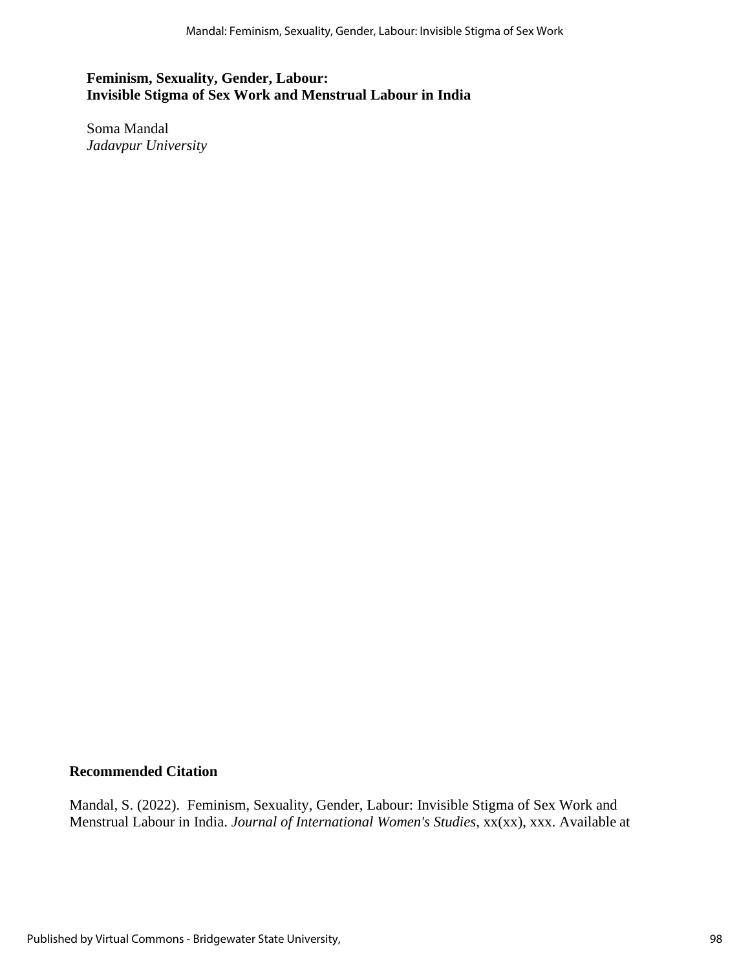## **Feminism, Sexuality, Gender, Labour: Invisible Stigma of Sex Work and Menstrual Labour in India**

Soma Mandal *Jadavpur University*

## **Recommended Citation**

Mandal, S. (2022). Feminism, Sexuality, Gender, Labour: Invisible Stigma of Sex Work and Menstrual Labour in India. *Journal of International Women's Studies*, xx(xx), xxx. Available at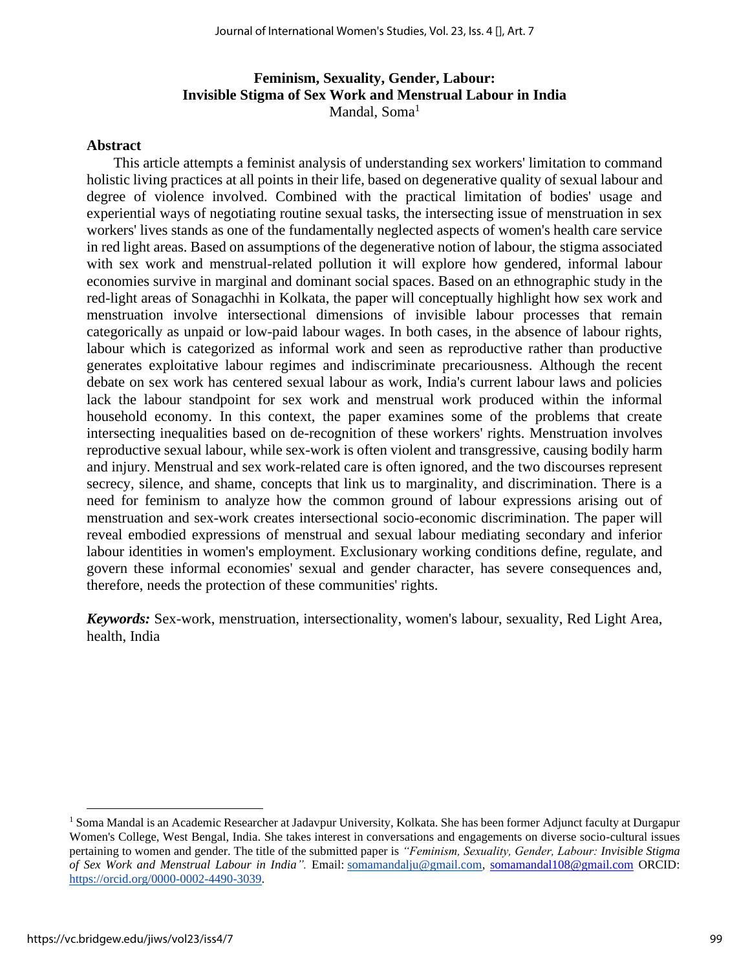## **Feminism, Sexuality, Gender, Labour: Invisible Stigma of Sex Work and Menstrual Labour in India** Mandal,  $Soma<sup>1</sup>$

#### **Abstract**

This article attempts a feminist analysis of understanding sex workers' limitation to command holistic living practices at all points in their life, based on degenerative quality of sexual labour and degree of violence involved. Combined with the practical limitation of bodies' usage and experiential ways of negotiating routine sexual tasks, the intersecting issue of menstruation in sex workers' lives stands as one of the fundamentally neglected aspects of women's health care service in red light areas. Based on assumptions of the degenerative notion of labour, the stigma associated with sex work and menstrual-related pollution it will explore how gendered, informal labour economies survive in marginal and dominant social spaces. Based on an ethnographic study in the red-light areas of Sonagachhi in Kolkata, the paper will conceptually highlight how sex work and menstruation involve intersectional dimensions of invisible labour processes that remain categorically as unpaid or low-paid labour wages. In both cases, in the absence of labour rights, labour which is categorized as informal work and seen as reproductive rather than productive generates exploitative labour regimes and indiscriminate precariousness. Although the recent debate on sex work has centered sexual labour as work, India's current labour laws and policies lack the labour standpoint for sex work and menstrual work produced within the informal household economy. In this context, the paper examines some of the problems that create intersecting inequalities based on de-recognition of these workers' rights. Menstruation involves reproductive sexual labour, while sex-work is often violent and transgressive, causing bodily harm and injury. Menstrual and sex work-related care is often ignored, and the two discourses represent secrecy, silence, and shame, concepts that link us to marginality, and discrimination. There is a need for feminism to analyze how the common ground of labour expressions arising out of menstruation and sex-work creates intersectional socio-economic discrimination. The paper will reveal embodied expressions of menstrual and sexual labour mediating secondary and inferior labour identities in women's employment. Exclusionary working conditions define, regulate, and govern these informal economies' sexual and gender character, has severe consequences and, therefore, needs the protection of these communities' rights.

*Keywords:* Sex-work, menstruation, intersectionality, women's labour, sexuality, Red Light Area, health, India

<sup>&</sup>lt;sup>1</sup> Soma Mandal is an Academic Researcher at Jadavpur University, Kolkata. She has been former Adjunct faculty at Durgapur Women's College, West Bengal, India. She takes interest in conversations and engagements on diverse socio-cultural issues pertaining to women and gender. The title of the submitted paper is *"Feminism, Sexuality, Gender, Labour: Invisible Stigma of Sex Work and Menstrual Labour in India".* Email: [somamandalju@gmail.com,](mailto:somamandalju@gmail.com) [somamandal108@gmail.com](mailto:somamandal108@gmail.com) ORCID: [https://orcid.org/0000-0002-4490-3039.](https://orcid.org/0000-0002-4490-3039)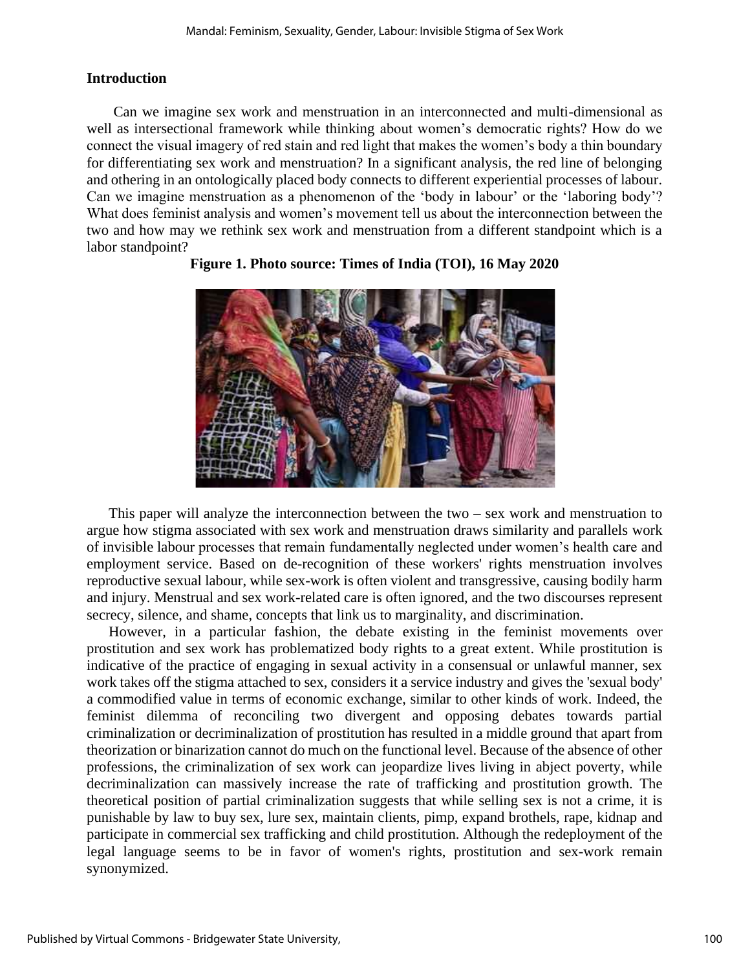## **Introduction**

Can we imagine sex work and menstruation in an interconnected and multi-dimensional as well as intersectional framework while thinking about women's democratic rights? How do we connect the visual imagery of red stain and red light that makes the women's body a thin boundary for differentiating sex work and menstruation? In a significant analysis, the red line of belonging and othering in an ontologically placed body connects to different experiential processes of labour. Can we imagine menstruation as a phenomenon of the 'body in labour' or the 'laboring body'? What does feminist analysis and women's movement tell us about the interconnection between the two and how may we rethink sex work and menstruation from a different standpoint which is a labor standpoint?



## **Figure 1. Photo source: Times of India (TOI), 16 May 2020**

 This paper will analyze the interconnection between the two – sex work and menstruation to argue how stigma associated with sex work and menstruation draws similarity and parallels work of invisible labour processes that remain fundamentally neglected under women's health care and employment service. Based on de-recognition of these workers' rights menstruation involves reproductive sexual labour, while sex-work is often violent and transgressive, causing bodily harm and injury. Menstrual and sex work-related care is often ignored, and the two discourses represent secrecy, silence, and shame, concepts that link us to marginality, and discrimination.

 However, in a particular fashion, the debate existing in the feminist movements over prostitution and sex work has problematized body rights to a great extent. While prostitution is indicative of the practice of engaging in sexual activity in a consensual or unlawful manner, sex work takes off the stigma attached to sex, considers it a service industry and gives the 'sexual body' a commodified value in terms of economic exchange, similar to other kinds of work. Indeed, the feminist dilemma of reconciling two divergent and opposing debates towards partial criminalization or decriminalization of prostitution has resulted in a middle ground that apart from theorization or binarization cannot do much on the functional level. Because of the absence of other professions, the criminalization of sex work can jeopardize lives living in abject poverty, while decriminalization can massively increase the rate of trafficking and prostitution growth. The theoretical position of partial criminalization suggests that while selling sex is not a crime, it is punishable by law to buy sex, lure sex, maintain clients, pimp, expand brothels, rape, kidnap and participate in commercial sex trafficking and child prostitution. Although the redeployment of the legal language seems to be in favor of women's rights, prostitution and sex-work remain synonymized.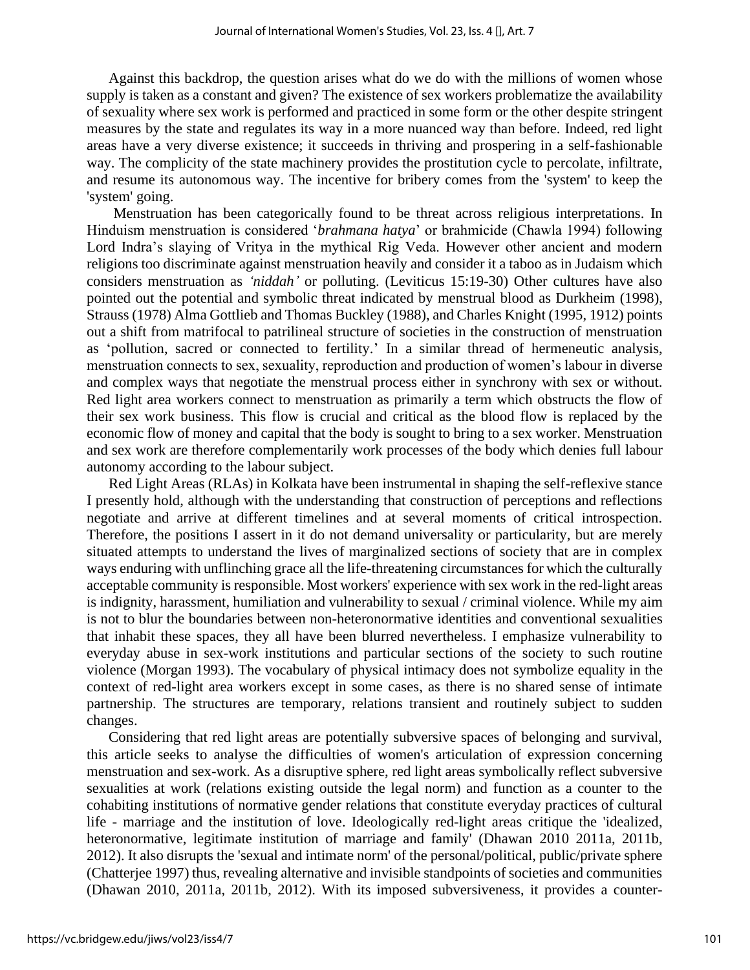Against this backdrop, the question arises what do we do with the millions of women whose supply is taken as a constant and given? The existence of sex workers problematize the availability of sexuality where sex work is performed and practiced in some form or the other despite stringent measures by the state and regulates its way in a more nuanced way than before. Indeed, red light areas have a very diverse existence; it succeeds in thriving and prospering in a self-fashionable way. The complicity of the state machinery provides the prostitution cycle to percolate, infiltrate, and resume its autonomous way. The incentive for bribery comes from the 'system' to keep the 'system' going.

 Menstruation has been categorically found to be threat across religious interpretations. In Hinduism menstruation is considered '*brahmana hatya*' or brahmicide (Chawla 1994) following Lord Indra's slaying of Vritya in the mythical Rig Veda. However other ancient and modern religions too discriminate against menstruation heavily and consider it a taboo as in Judaism which considers menstruation as *'niddah'* or polluting. (Leviticus 15:19-30) Other cultures have also pointed out the potential and symbolic threat indicated by menstrual blood as Durkheim (1998), Strauss (1978) Alma Gottlieb and Thomas Buckley (1988), and Charles Knight (1995, 1912) points out a shift from matrifocal to patrilineal structure of societies in the construction of menstruation as 'pollution, sacred or connected to fertility.' In a similar thread of hermeneutic analysis, menstruation connects to sex, sexuality, reproduction and production of women's labour in diverse and complex ways that negotiate the menstrual process either in synchrony with sex or without. Red light area workers connect to menstruation as primarily a term which obstructs the flow of their sex work business. This flow is crucial and critical as the blood flow is replaced by the economic flow of money and capital that the body is sought to bring to a sex worker. Menstruation and sex work are therefore complementarily work processes of the body which denies full labour autonomy according to the labour subject.

 Red Light Areas (RLAs) in Kolkata have been instrumental in shaping the self-reflexive stance I presently hold, although with the understanding that construction of perceptions and reflections negotiate and arrive at different timelines and at several moments of critical introspection. Therefore, the positions I assert in it do not demand universality or particularity, but are merely situated attempts to understand the lives of marginalized sections of society that are in complex ways enduring with unflinching grace all the life-threatening circumstances for which the culturally acceptable community is responsible. Most workers' experience with sex work in the red-light areas is indignity, harassment, humiliation and vulnerability to sexual / criminal violence. While my aim is not to blur the boundaries between non-heteronormative identities and conventional sexualities that inhabit these spaces, they all have been blurred nevertheless. I emphasize vulnerability to everyday abuse in sex-work institutions and particular sections of the society to such routine violence (Morgan 1993). The vocabulary of physical intimacy does not symbolize equality in the context of red-light area workers except in some cases, as there is no shared sense of intimate partnership. The structures are temporary, relations transient and routinely subject to sudden changes.

 Considering that red light areas are potentially subversive spaces of belonging and survival, this article seeks to analyse the difficulties of women's articulation of expression concerning menstruation and sex-work. As a disruptive sphere, red light areas symbolically reflect subversive sexualities at work (relations existing outside the legal norm) and function as a counter to the cohabiting institutions of normative gender relations that constitute everyday practices of cultural life - marriage and the institution of love. Ideologically red-light areas critique the 'idealized, heteronormative, legitimate institution of marriage and family' (Dhawan 2010 2011a, 2011b, 2012). It also disrupts the 'sexual and intimate norm' of the personal/political, public/private sphere (Chatterjee 1997) thus, revealing alternative and invisible standpoints of societies and communities (Dhawan 2010, 2011a, 2011b, 2012). With its imposed subversiveness, it provides a counter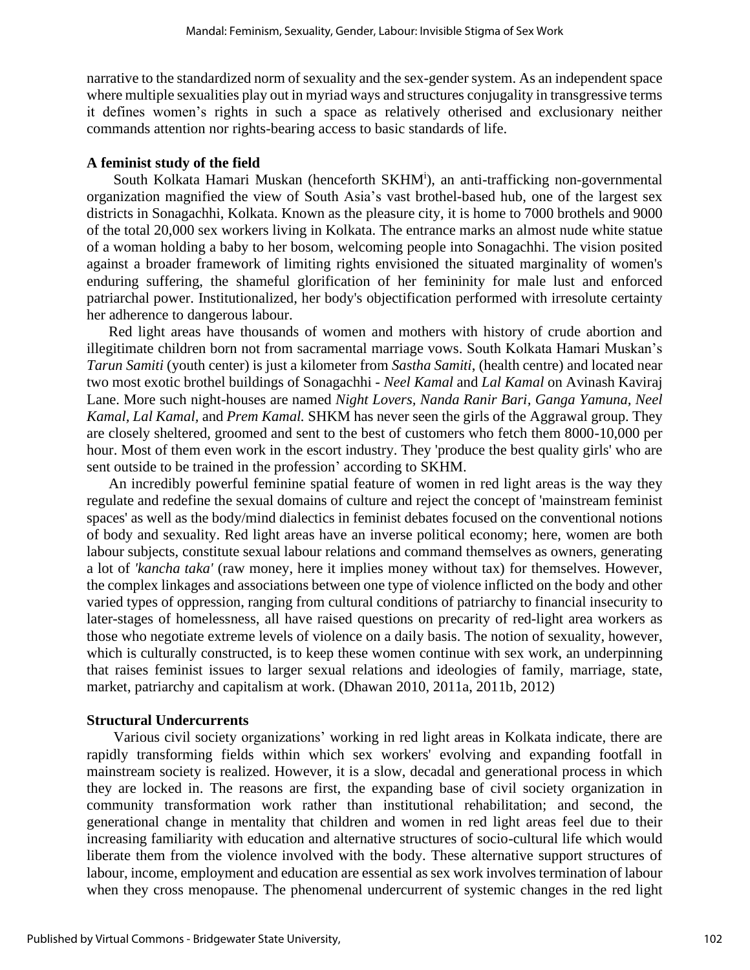narrative to the standardized norm of sexuality and the sex-gender system. As an independent space where multiple sexualities play out in myriad ways and structures conjugality in transgressive terms it defines women's rights in such a space as relatively otherised and exclusionary neither commands attention nor rights-bearing access to basic standards of life.

#### **A feminist study of the field**

South Kolkata Hamari Muskan (henceforth SKHM<sup>i</sup>), an anti-trafficking non-governmental organization magnified the view of South Asia's vast brothel-based hub, one of the largest sex districts in Sonagachhi, Kolkata. Known as the pleasure city, it is home to 7000 brothels and 9000 of the total 20,000 sex workers living in Kolkata. The entrance marks an almost nude white statue of a woman holding a baby to her bosom, welcoming people into Sonagachhi. The vision posited against a broader framework of limiting rights envisioned the situated marginality of women's enduring suffering, the shameful glorification of her femininity for male lust and enforced patriarchal power. Institutionalized, her body's objectification performed with irresolute certainty her adherence to dangerous labour.

 Red light areas have thousands of women and mothers with history of crude abortion and illegitimate children born not from sacramental marriage vows. South Kolkata Hamari Muskan's *Tarun Samiti* (youth center) is just a kilometer from *Sastha Samiti*, (health centre) and located near two most exotic brothel buildings of Sonagachhi - *Neel Kamal* and *Lal Kamal* on Avinash Kaviraj Lane. More such night-houses are named *Night Lovers, Nanda Ranir Bari, Ganga Yamuna, Neel Kamal, Lal Kamal,* and *Prem Kamal.* SHKM has never seen the girls of the Aggrawal group. They are closely sheltered, groomed and sent to the best of customers who fetch them 8000-10,000 per hour. Most of them even work in the escort industry. They 'produce the best quality girls' who are sent outside to be trained in the profession' according to SKHM.

 An incredibly powerful feminine spatial feature of women in red light areas is the way they regulate and redefine the sexual domains of culture and reject the concept of 'mainstream feminist spaces' as well as the body/mind dialectics in feminist debates focused on the conventional notions of body and sexuality. Red light areas have an inverse political economy; here, women are both labour subjects, constitute sexual labour relations and command themselves as owners, generating a lot of *'kancha taka'* (raw money, here it implies money without tax) for themselves. However, the complex linkages and associations between one type of violence inflicted on the body and other varied types of oppression, ranging from cultural conditions of patriarchy to financial insecurity to later-stages of homelessness, all have raised questions on precarity of red-light area workers as those who negotiate extreme levels of violence on a daily basis. The notion of sexuality, however, which is culturally constructed, is to keep these women continue with sex work, an underpinning that raises feminist issues to larger sexual relations and ideologies of family, marriage, state, market, patriarchy and capitalism at work. (Dhawan 2010, 2011a, 2011b, 2012)

#### **Structural Undercurrents**

Various civil society organizations' working in red light areas in Kolkata indicate, there are rapidly transforming fields within which sex workers' evolving and expanding footfall in mainstream society is realized. However, it is a slow, decadal and generational process in which they are locked in. The reasons are first, the expanding base of civil society organization in community transformation work rather than institutional rehabilitation; and second, the generational change in mentality that children and women in red light areas feel due to their increasing familiarity with education and alternative structures of socio-cultural life which would liberate them from the violence involved with the body. These alternative support structures of labour, income, employment and education are essential as sex work involves termination of labour when they cross menopause. The phenomenal undercurrent of systemic changes in the red light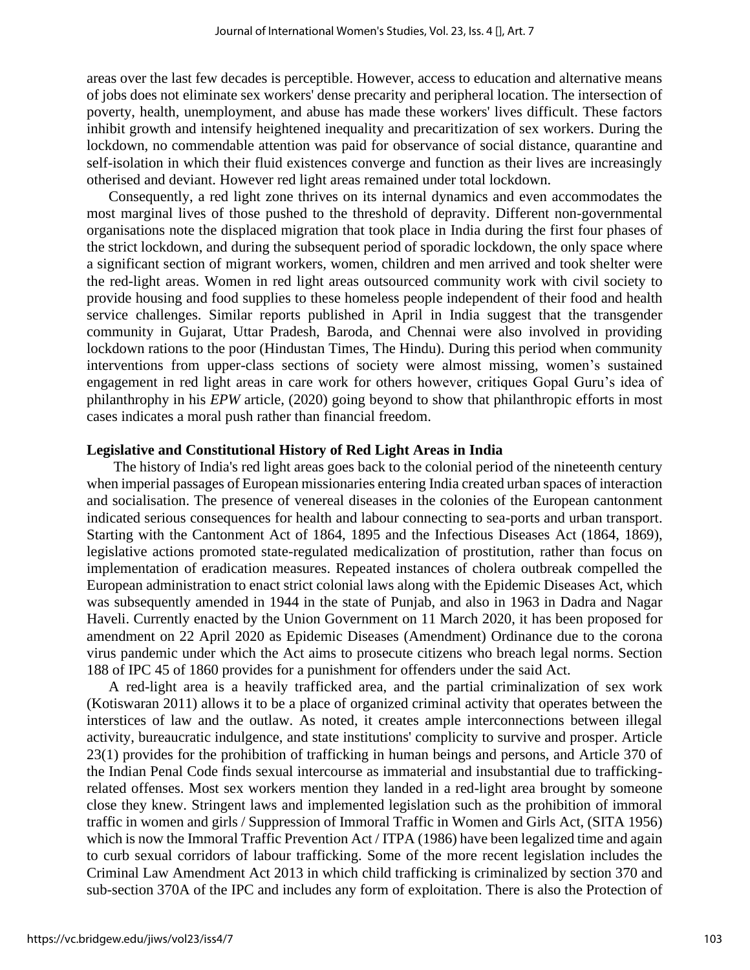areas over the last few decades is perceptible. However, access to education and alternative means of jobs does not eliminate sex workers' dense precarity and peripheral location. The intersection of poverty, health, unemployment, and abuse has made these workers' lives difficult. These factors inhibit growth and intensify heightened inequality and precaritization of sex workers. During the lockdown, no commendable attention was paid for observance of social distance, quarantine and self-isolation in which their fluid existences converge and function as their lives are increasingly otherised and deviant. However red light areas remained under total lockdown.

 Consequently, a red light zone thrives on its internal dynamics and even accommodates the most marginal lives of those pushed to the threshold of depravity. Different non-governmental organisations note the displaced migration that took place in India during the first four phases of the strict lockdown, and during the subsequent period of sporadic lockdown, the only space where a significant section of migrant workers, women, children and men arrived and took shelter were the red-light areas. Women in red light areas outsourced community work with civil society to provide housing and food supplies to these homeless people independent of their food and health service challenges. Similar reports published in April in India suggest that the transgender community in Gujarat, Uttar Pradesh, Baroda, and Chennai were also involved in providing lockdown rations to the poor (Hindustan Times, The Hindu). During this period when community interventions from upper-class sections of society were almost missing, women's sustained engagement in red light areas in care work for others however, critiques Gopal Guru's idea of philanthrophy in his *EPW* article, (2020) going beyond to show that philanthropic efforts in most cases indicates a moral push rather than financial freedom.

#### **Legislative and Constitutional History of Red Light Areas in India**

The history of India's red light areas goes back to the colonial period of the nineteenth century when imperial passages of European missionaries entering India created urban spaces of interaction and socialisation. The presence of venereal diseases in the colonies of the European cantonment indicated serious consequences for health and labour connecting to sea-ports and urban transport. Starting with the Cantonment Act of 1864, 1895 and the Infectious Diseases Act (1864, 1869), legislative actions promoted state-regulated medicalization of prostitution, rather than focus on implementation of eradication measures. Repeated instances of cholera outbreak compelled the European administration to enact strict colonial laws along with the Epidemic Diseases Act, which was subsequently amended in 1944 in the state of Punjab, and also in 1963 in Dadra and Nagar Haveli. Currently enacted by the Union Government on 11 March 2020, it has been proposed for amendment on 22 April 2020 as Epidemic Diseases (Amendment) Ordinance due to the corona virus pandemic under which the Act aims to prosecute citizens who breach legal norms. Section 188 of IPC 45 of 1860 provides for a punishment for offenders under the said Act.

 A red-light area is a heavily trafficked area, and the partial criminalization of sex work (Kotiswaran 2011) allows it to be a place of organized criminal activity that operates between the interstices of law and the outlaw. As noted, it creates ample interconnections between illegal activity, bureaucratic indulgence, and state institutions' complicity to survive and prosper. Article 23(1) provides for the prohibition of trafficking in human beings and persons, and Article 370 of the Indian Penal Code finds sexual intercourse as immaterial and insubstantial due to traffickingrelated offenses. Most sex workers mention they landed in a red-light area brought by someone close they knew. Stringent laws and implemented legislation such as the prohibition of immoral traffic in women and girls / Suppression of Immoral Traffic in Women and Girls Act, (SITA 1956) which is now the Immoral Traffic Prevention Act / ITPA (1986) have been legalized time and again to curb sexual corridors of labour trafficking. Some of the more recent legislation includes the Criminal Law Amendment Act 2013 in which child trafficking is criminalized by section 370 and sub-section 370A of the IPC and includes any form of exploitation. There is also the Protection of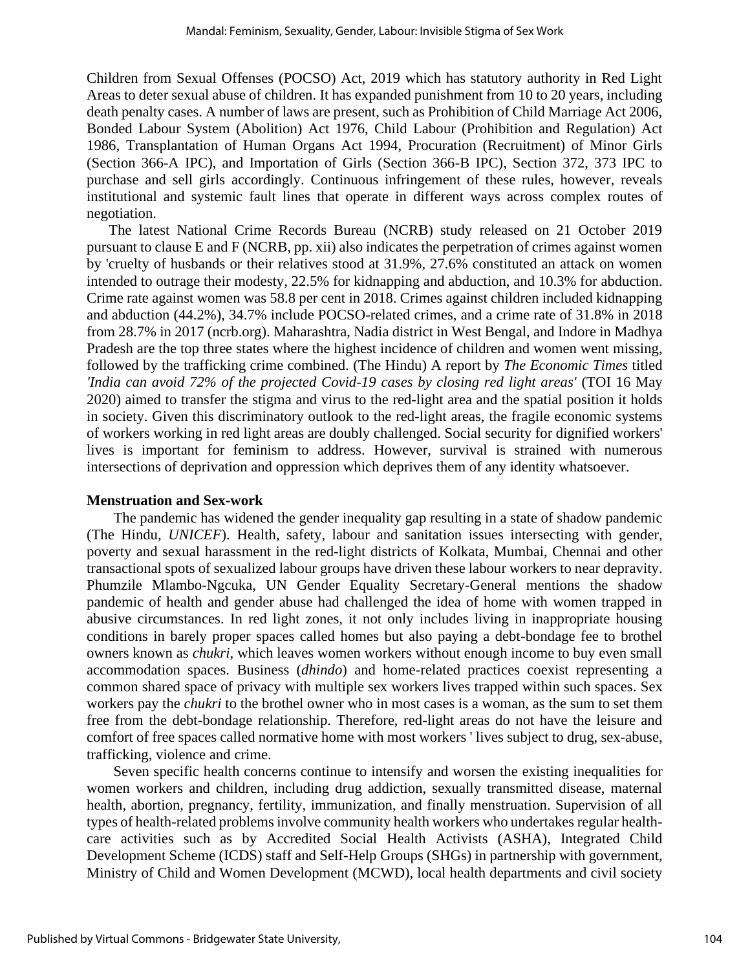Children from Sexual Offenses (POCSO) Act, 2019 which has statutory authority in Red Light Areas to deter sexual abuse of children. It has expanded punishment from 10 to 20 years, including death penalty cases. A number of laws are present, such as Prohibition of Child Marriage Act 2006, Bonded Labour System (Abolition) Act 1976, Child Labour (Prohibition and Regulation) Act 1986, Transplantation of Human Organs Act 1994, Procuration (Recruitment) of Minor Girls (Section 366-A IPC), and Importation of Girls (Section 366-B IPC), Section 372, 373 IPC to purchase and sell girls accordingly. Continuous infringement of these rules, however, reveals institutional and systemic fault lines that operate in different ways across complex routes of negotiation.

 The latest National Crime Records Bureau (NCRB) study released on 21 October 2019 pursuant to clause E and F (NCRB, pp. xii) also indicates the perpetration of crimes against women by 'cruelty of husbands or their relatives stood at 31.9%, 27.6% constituted an attack on women intended to outrage their modesty, 22.5% for kidnapping and abduction, and 10.3% for abduction. Crime rate against women was 58.8 per cent in 2018. Crimes against children included kidnapping and abduction (44.2%), 34.7% include POCSO-related crimes, and a crime rate of 31.8% in 2018 from 28.7% in 2017 (ncrb.org). Maharashtra, Nadia district in West Bengal, and Indore in Madhya Pradesh are the top three states where the highest incidence of children and women went missing, followed by the trafficking crime combined. (The Hindu) A report by *The Economic Times* titled *'India can avoid 72% of the projected Covid-19 cases by closing red light areas'* (TOI 16 May 2020) aimed to transfer the stigma and virus to the red-light area and the spatial position it holds in society. Given this discriminatory outlook to the red-light areas, the fragile economic systems of workers working in red light areas are doubly challenged. Social security for dignified workers' lives is important for feminism to address. However, survival is strained with numerous intersections of deprivation and oppression which deprives them of any identity whatsoever.

#### **Menstruation and Sex-work**

The pandemic has widened the gender inequality gap resulting in a state of shadow pandemic (The Hindu*, UNICEF*). Health, safety, labour and sanitation issues intersecting with gender, poverty and sexual harassment in the red-light districts of Kolkata, Mumbai, Chennai and other transactional spots of sexualized labour groups have driven these labour workers to near depravity. Phumzile Mlambo-Ngcuka, UN Gender Equality Secretary-General mentions the shadow pandemic of health and gender abuse had challenged the idea of home with women trapped in abusive circumstances. In red light zones, it not only includes living in inappropriate housing conditions in barely proper spaces called homes but also paying a debt-bondage fee to brothel owners known as *chukri*, which leaves women workers without enough income to buy even small accommodation spaces. Business (*dhindo*) and home-related practices coexist representing a common shared space of privacy with multiple sex workers lives trapped within such spaces. Sex workers pay the *chukri* to the brothel owner who in most cases is a woman, as the sum to set them free from the debt-bondage relationship. Therefore, red-light areas do not have the leisure and comfort of free spaces called normative home with most workers ' lives subject to drug, sex-abuse, trafficking, violence and crime.

Seven specific health concerns continue to intensify and worsen the existing inequalities for women workers and children, including drug addiction, sexually transmitted disease, maternal health, abortion, pregnancy, fertility, immunization, and finally menstruation. Supervision of all types of health-related problems involve community health workers who undertakes regular healthcare activities such as by Accredited Social Health Activists (ASHA), Integrated Child Development Scheme (ICDS) staff and Self-Help Groups (SHGs) in partnership with government, Ministry of Child and Women Development (MCWD), local health departments and civil society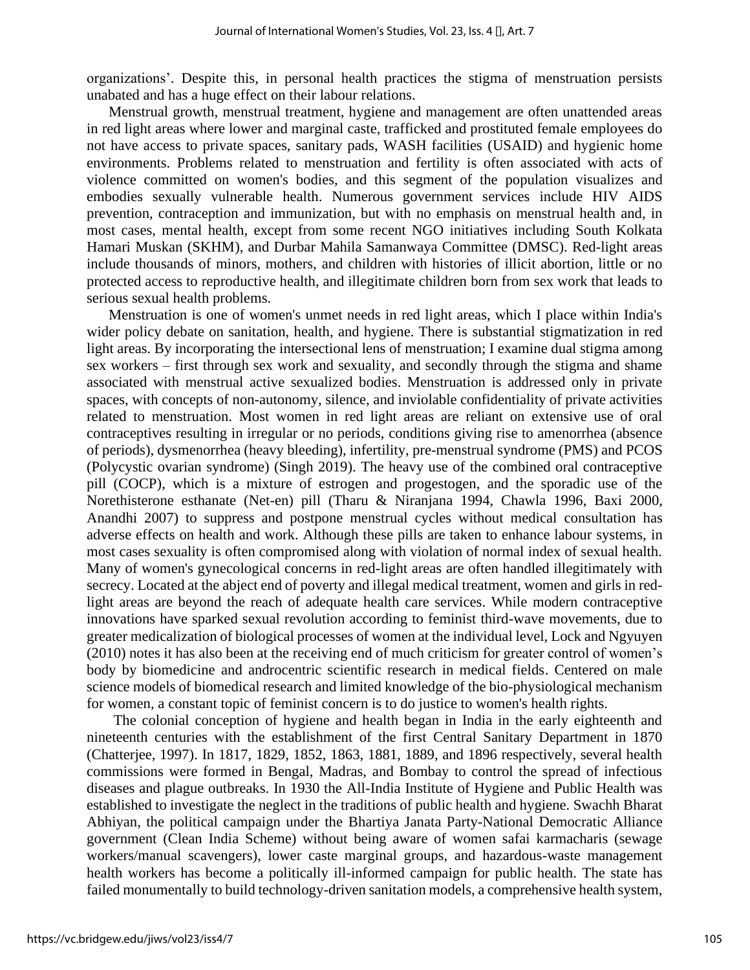organizations'. Despite this, in personal health practices the stigma of menstruation persists unabated and has a huge effect on their labour relations.

 Menstrual growth, menstrual treatment, hygiene and management are often unattended areas in red light areas where lower and marginal caste, trafficked and prostituted female employees do not have access to private spaces, sanitary pads, WASH facilities (USAID) and hygienic home environments. Problems related to menstruation and fertility is often associated with acts of violence committed on women's bodies, and this segment of the population visualizes and embodies sexually vulnerable health. Numerous government services include HIV AIDS prevention, contraception and immunization, but with no emphasis on menstrual health and, in most cases, mental health, except from some recent NGO initiatives including South Kolkata Hamari Muskan (SKHM), and Durbar Mahila Samanwaya Committee (DMSC). Red-light areas include thousands of minors, mothers, and children with histories of illicit abortion, little or no protected access to reproductive health, and illegitimate children born from sex work that leads to serious sexual health problems.

 Menstruation is one of women's unmet needs in red light areas, which I place within India's wider policy debate on sanitation, health, and hygiene. There is substantial stigmatization in red light areas. By incorporating the intersectional lens of menstruation; I examine dual stigma among sex workers – first through sex work and sexuality, and secondly through the stigma and shame associated with menstrual active sexualized bodies. Menstruation is addressed only in private spaces, with concepts of non-autonomy, silence, and inviolable confidentiality of private activities related to menstruation. Most women in red light areas are reliant on extensive use of oral contraceptives resulting in irregular or no periods, conditions giving rise to amenorrhea (absence of periods), dysmenorrhea (heavy bleeding), infertility, pre-menstrual syndrome (PMS) and PCOS (Polycystic ovarian syndrome) (Singh 2019). The heavy use of the combined oral contraceptive pill (COCP), which is a mixture of estrogen and progestogen, and the sporadic use of the Norethisterone esthanate (Net-en) pill (Tharu & Niranjana 1994, Chawla 1996, Baxi 2000, Anandhi 2007) to suppress and postpone menstrual cycles without medical consultation has adverse effects on health and work. Although these pills are taken to enhance labour systems, in most cases sexuality is often compromised along with violation of normal index of sexual health. Many of women's gynecological concerns in red-light areas are often handled illegitimately with secrecy. Located at the abject end of poverty and illegal medical treatment, women and girls in redlight areas are beyond the reach of adequate health care services. While modern contraceptive innovations have sparked sexual revolution according to feminist third-wave movements, due to greater medicalization of biological processes of women at the individual level, Lock and Ngyuyen (2010) notes it has also been at the receiving end of much criticism for greater control of women's body by biomedicine and androcentric scientific research in medical fields. Centered on male science models of biomedical research and limited knowledge of the bio-physiological mechanism for women, a constant topic of feminist concern is to do justice to women's health rights.

The colonial conception of hygiene and health began in India in the early eighteenth and nineteenth centuries with the establishment of the first Central Sanitary Department in 1870 (Chatterjee, 1997). In 1817, 1829, 1852, 1863, 1881, 1889, and 1896 respectively, several health commissions were formed in Bengal, Madras, and Bombay to control the spread of infectious diseases and plague outbreaks. In 1930 the All-India Institute of Hygiene and Public Health was established to investigate the neglect in the traditions of public health and hygiene. Swachh Bharat Abhiyan, the political campaign under the Bhartiya Janata Party-National Democratic Alliance government (Clean India Scheme) without being aware of women safai karmacharis (sewage workers/manual scavengers), lower caste marginal groups, and hazardous-waste management health workers has become a politically ill-informed campaign for public health. The state has failed monumentally to build technology-driven sanitation models, a comprehensive health system,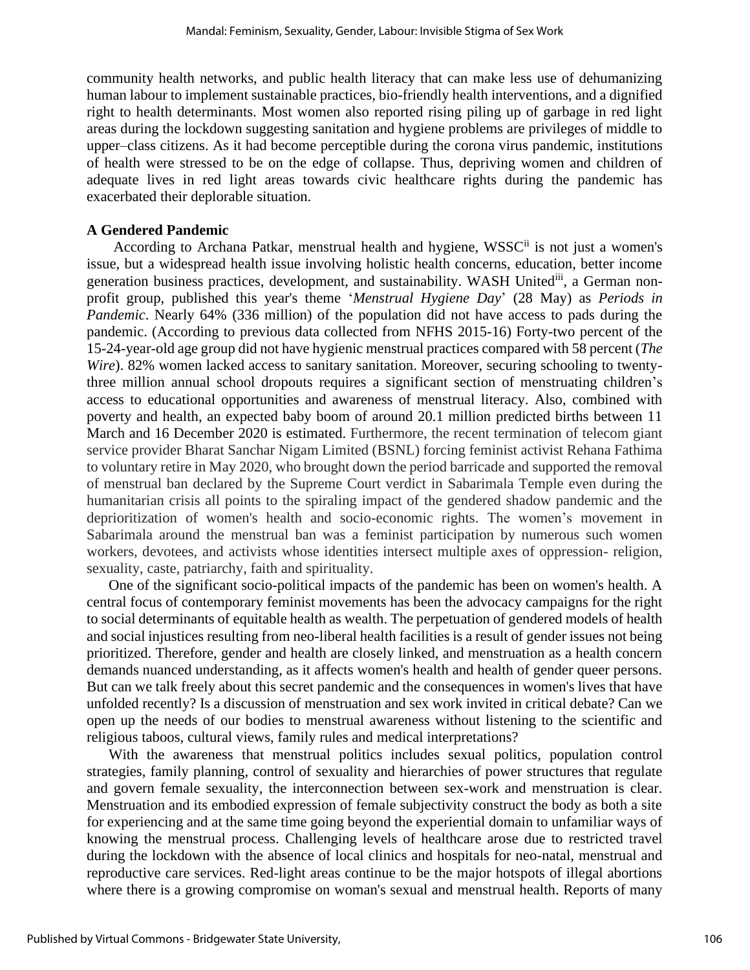community health networks, and public health literacy that can make less use of dehumanizing human labour to implement sustainable practices, bio-friendly health interventions, and a dignified right to health determinants. Most women also reported rising piling up of garbage in red light areas during the lockdown suggesting sanitation and hygiene problems are privileges of middle to upper–class citizens. As it had become perceptible during the corona virus pandemic, institutions of health were stressed to be on the edge of collapse. Thus, depriving women and children of adequate lives in red light areas towards civic healthcare rights during the pandemic has exacerbated their deplorable situation.

#### **A Gendered Pandemic**

According to Archana Patkar, menstrual health and hygiene, WSSC<sup>ii</sup> is not just a women's issue, but a widespread health issue involving holistic health concerns, education, better income generation business practices, development, and sustainability. WASH Unitediii, a German nonprofit group, published this year's theme '*Menstrual Hygiene Day*' (28 May) as *Periods in Pandemic*. Nearly 64% (336 million) of the population did not have access to pads during the pandemic. (According to previous data collected from NFHS 2015-16) Forty-two percent of the 15-24-year-old age group did not have hygienic menstrual practices compared with 58 percent (*The Wire*). 82% women lacked access to sanitary sanitation. Moreover, securing schooling to twentythree million annual school dropouts requires a significant section of menstruating children's access to educational opportunities and awareness of menstrual literacy. Also, combined with poverty and health, an expected baby boom of around 20.1 million predicted births between 11 March and 16 December 2020 is estimated. Furthermore, the recent termination of telecom giant service provider Bharat Sanchar Nigam Limited (BSNL) forcing feminist activist Rehana Fathima to voluntary retire in May 2020, who brought down the period barricade and supported the removal of menstrual ban declared by the Supreme Court verdict in Sabarimala Temple even during the humanitarian crisis all points to the spiraling impact of the gendered shadow pandemic and the deprioritization of women's health and socio-economic rights. The women's movement in Sabarimala around the menstrual ban was a feminist participation by numerous such women workers, devotees, and activists whose identities intersect multiple axes of oppression- religion, sexuality, caste, patriarchy, faith and spirituality.

 One of the significant socio-political impacts of the pandemic has been on women's health. A central focus of contemporary feminist movements has been the advocacy campaigns for the right to social determinants of equitable health as wealth. The perpetuation of gendered models of health and social injustices resulting from neo-liberal health facilities is a result of gender issues not being prioritized. Therefore, gender and health are closely linked, and menstruation as a health concern demands nuanced understanding, as it affects women's health and health of gender queer persons. But can we talk freely about this secret pandemic and the consequences in women's lives that have unfolded recently? Is a discussion of menstruation and sex work invited in critical debate? Can we open up the needs of our bodies to menstrual awareness without listening to the scientific and religious taboos, cultural views, family rules and medical interpretations?

 With the awareness that menstrual politics includes sexual politics, population control strategies, family planning, control of sexuality and hierarchies of power structures that regulate and govern female sexuality, the interconnection between sex-work and menstruation is clear. Menstruation and its embodied expression of female subjectivity construct the body as both a site for experiencing and at the same time going beyond the experiential domain to unfamiliar ways of knowing the menstrual process. Challenging levels of healthcare arose due to restricted travel during the lockdown with the absence of local clinics and hospitals for neo-natal, menstrual and reproductive care services. Red-light areas continue to be the major hotspots of illegal abortions where there is a growing compromise on woman's sexual and menstrual health. Reports of many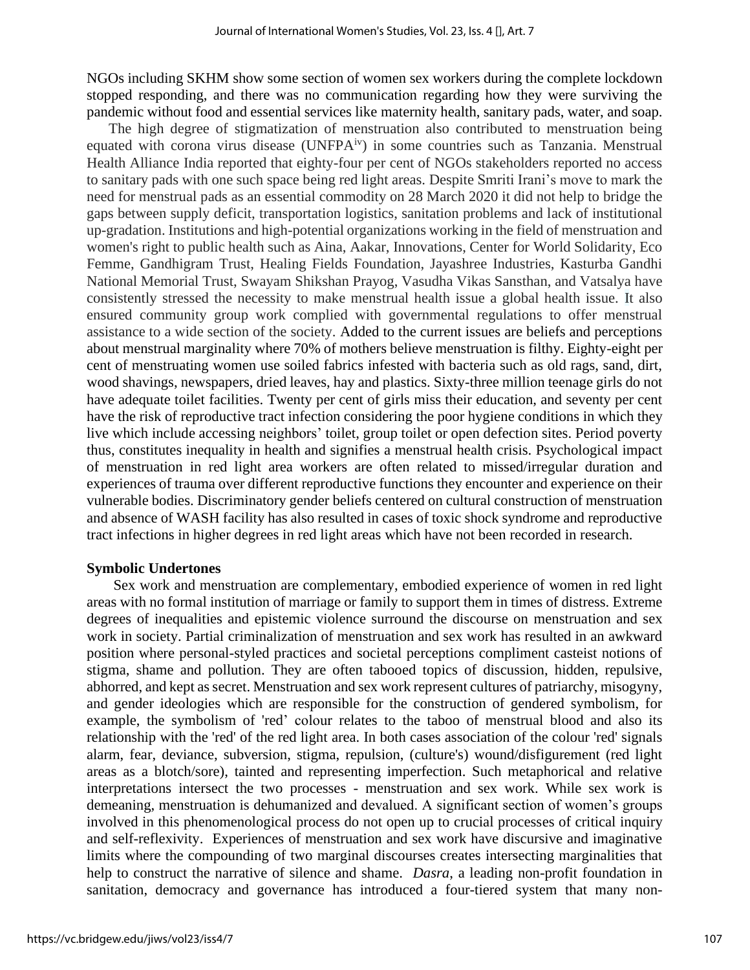NGOs including SKHM show some section of women sex workers during the complete lockdown stopped responding, and there was no communication regarding how they were surviving the pandemic without food and essential services like maternity health, sanitary pads, water, and soap.

 The high degree of stigmatization of menstruation also contributed to menstruation being equated with corona virus disease (UNFPA<sup>iv</sup>) in some countries such as Tanzania. Menstrual Health Alliance India reported that eighty-four per cent of NGOs stakeholders reported no access to sanitary pads with one such space being red light areas. Despite Smriti Irani's move to mark the need for menstrual pads as an essential commodity on 28 March 2020 it did not help to bridge the gaps between supply deficit, transportation logistics, sanitation problems and lack of institutional up-gradation. Institutions and high-potential organizations working in the field of menstruation and women's right to public health such as Aina, Aakar, Innovations, Center for World Solidarity, Eco Femme, Gandhigram Trust, Healing Fields Foundation, Jayashree Industries, Kasturba Gandhi National Memorial Trust, Swayam Shikshan Prayog, Vasudha Vikas Sansthan, and Vatsalya have consistently stressed the necessity to make menstrual health issue a global health issue. It also ensured community group work complied with governmental regulations to offer menstrual assistance to a wide section of the society. Added to the current issues are beliefs and perceptions about menstrual marginality where 70% of mothers believe menstruation is filthy. Eighty-eight per cent of menstruating women use soiled fabrics infested with bacteria such as old rags, sand, dirt, wood shavings, newspapers, dried leaves, hay and plastics. Sixty-three million teenage girls do not have adequate toilet facilities. Twenty per cent of girls miss their education, and seventy per cent have the risk of reproductive tract infection considering the poor hygiene conditions in which they live which include accessing neighbors' toilet, group toilet or open defection sites. Period poverty thus, constitutes inequality in health and signifies a menstrual health crisis. Psychological impact of menstruation in red light area workers are often related to missed/irregular duration and experiences of trauma over different reproductive functions they encounter and experience on their vulnerable bodies. Discriminatory gender beliefs centered on cultural construction of menstruation and absence of WASH facility has also resulted in cases of toxic shock syndrome and reproductive tract infections in higher degrees in red light areas which have not been recorded in research.

#### **Symbolic Undertones**

Sex work and menstruation are complementary, embodied experience of women in red light areas with no formal institution of marriage or family to support them in times of distress. Extreme degrees of inequalities and epistemic violence surround the discourse on menstruation and sex work in society. Partial criminalization of menstruation and sex work has resulted in an awkward position where personal-styled practices and societal perceptions compliment casteist notions of stigma, shame and pollution. They are often tabooed topics of discussion, hidden, repulsive, abhorred, and kept as secret. Menstruation and sex work represent cultures of patriarchy, misogyny, and gender ideologies which are responsible for the construction of gendered symbolism, for example, the symbolism of 'red' colour relates to the taboo of menstrual blood and also its relationship with the 'red' of the red light area. In both cases association of the colour 'red' signals alarm, fear, deviance, subversion, stigma, repulsion, (culture's) wound/disfigurement (red light areas as a blotch/sore), tainted and representing imperfection. Such metaphorical and relative interpretations intersect the two processes - menstruation and sex work. While sex work is demeaning, menstruation is dehumanized and devalued. A significant section of women's groups involved in this phenomenological process do not open up to crucial processes of critical inquiry and self-reflexivity. Experiences of menstruation and sex work have discursive and imaginative limits where the compounding of two marginal discourses creates intersecting marginalities that help to construct the narrative of silence and shame. *Dasra*, a leading non-profit foundation in sanitation, democracy and governance has introduced a four-tiered system that many non-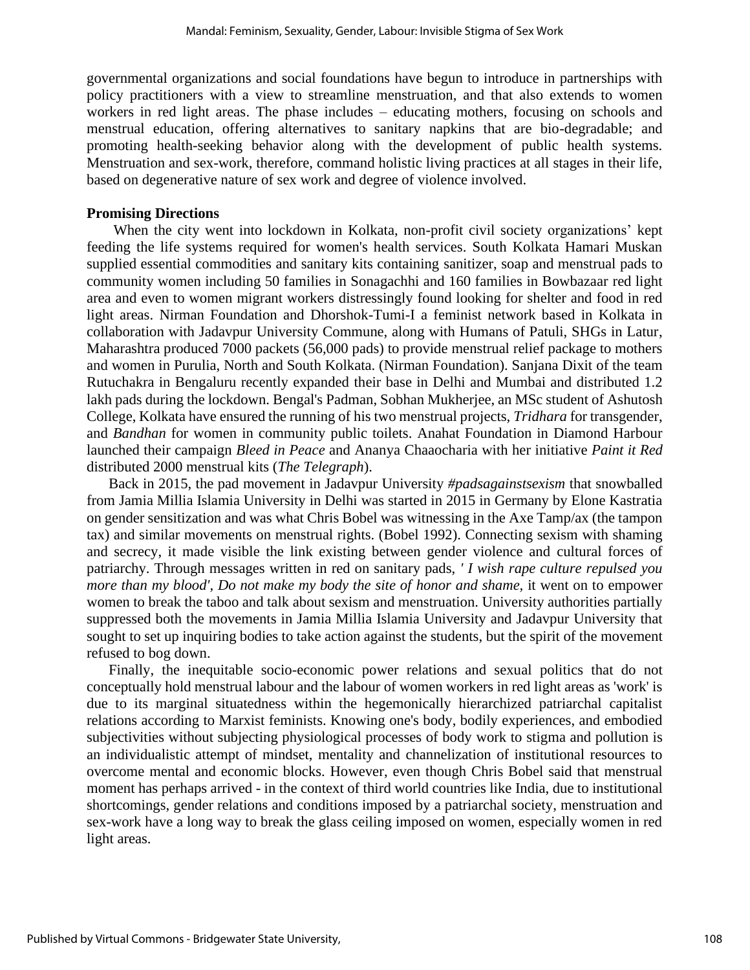governmental organizations and social foundations have begun to introduce in partnerships with policy practitioners with a view to streamline menstruation, and that also extends to women workers in red light areas. The phase includes – educating mothers, focusing on schools and menstrual education, offering alternatives to sanitary napkins that are bio-degradable; and promoting health-seeking behavior along with the development of public health systems. Menstruation and sex-work, therefore, command holistic living practices at all stages in their life, based on degenerative nature of sex work and degree of violence involved.

#### **Promising Directions**

When the city went into lockdown in Kolkata, non-profit civil society organizations' kept feeding the life systems required for women's health services. South Kolkata Hamari Muskan supplied essential commodities and sanitary kits containing sanitizer, soap and menstrual pads to community women including 50 families in Sonagachhi and 160 families in Bowbazaar red light area and even to women migrant workers distressingly found looking for shelter and food in red light areas. Nirman Foundation and Dhorshok-Tumi-I a feminist network based in Kolkata in collaboration with Jadavpur University Commune, along with Humans of Patuli, SHGs in Latur, Maharashtra produced 7000 packets (56,000 pads) to provide menstrual relief package to mothers and women in Purulia, North and South Kolkata. (Nirman Foundation). Sanjana Dixit of the team Rutuchakra in Bengaluru recently expanded their base in Delhi and Mumbai and distributed 1.2 lakh pads during the lockdown. Bengal's Padman, Sobhan Mukherjee, an MSc student of Ashutosh College, Kolkata have ensured the running of his two menstrual projects, *Tridhara* for transgender, and *Bandhan* for women in community public toilets. Anahat Foundation in Diamond Harbour launched their campaign *Bleed in Peace* and Ananya Chaaocharia with her initiative *Paint it Red* distributed 2000 menstrual kits (*The Telegraph*).

 Back in 2015, the pad movement in Jadavpur University *#padsagainstsexism* that snowballed from Jamia Millia Islamia University in Delhi was started in 2015 in Germany by Elone Kastratia on gender sensitization and was what Chris Bobel was witnessing in the Axe Tamp/ax (the tampon tax) and similar movements on menstrual rights. (Bobel 1992). Connecting sexism with shaming and secrecy, it made visible the link existing between gender violence and cultural forces of patriarchy. Through messages written in red on sanitary pads, *' I wish rape culture repulsed you more than my blood', Do not make my body the site of honor and shame,* it went on to empower women to break the taboo and talk about sexism and menstruation. University authorities partially suppressed both the movements in Jamia Millia Islamia University and Jadavpur University that sought to set up inquiring bodies to take action against the students, but the spirit of the movement refused to bog down.

 Finally, the inequitable socio-economic power relations and sexual politics that do not conceptually hold menstrual labour and the labour of women workers in red light areas as 'work' is due to its marginal situatedness within the hegemonically hierarchized patriarchal capitalist relations according to Marxist feminists. Knowing one's body, bodily experiences, and embodied subjectivities without subjecting physiological processes of body work to stigma and pollution is an individualistic attempt of mindset, mentality and channelization of institutional resources to overcome mental and economic blocks. However, even though Chris Bobel said that menstrual moment has perhaps arrived - in the context of third world countries like India, due to institutional shortcomings, gender relations and conditions imposed by a patriarchal society, menstruation and sex-work have a long way to break the glass ceiling imposed on women, especially women in red light areas.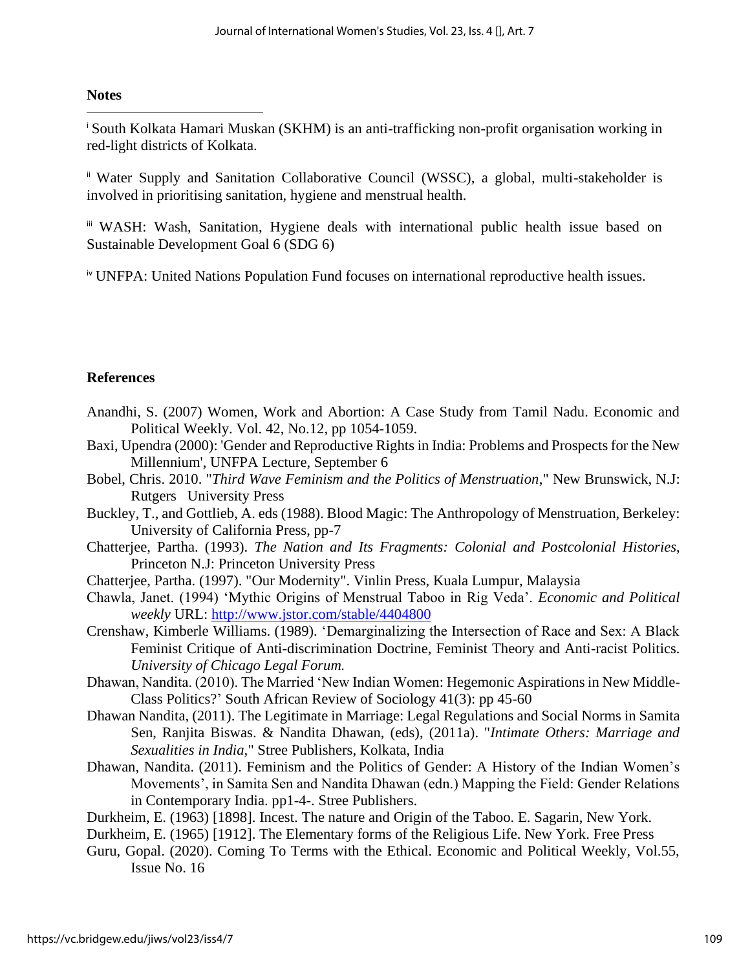## **Notes**

<sup>i</sup> South Kolkata Hamari Muskan (SKHM) is an anti-trafficking non-profit organisation working in red-light districts of Kolkata.

ii Water Supply and Sanitation Collaborative Council (WSSC), a global, multi-stakeholder is involved in prioritising sanitation, hygiene and menstrual health.

iii WASH: Wash, Sanitation, Hygiene deals with international public health issue based on Sustainable Development Goal 6 (SDG 6)

iv UNFPA: United Nations Population Fund focuses on international reproductive health issues.

## **References**

- Anandhi, S. (2007) Women, Work and Abortion: A Case Study from Tamil Nadu. Economic and Political Weekly. Vol. 42, No.12, pp 1054-1059.
- Baxi, Upendra (2000): 'Gender and Reproductive Rights in India: Problems and Prospects for the New Millennium', UNFPA Lecture, September 6
- Bobel, Chris. 2010. "*Third Wave Feminism and the Politics of Menstruation*," New Brunswick, N.J: Rutgers University Press
- Buckley, T., and Gottlieb, A. eds (1988). Blood Magic: The Anthropology of Menstruation, Berkeley: University of California Press, pp-7
- Chatterjee, Partha. (1993). *The Nation and Its Fragments: Colonial and Postcolonial Histories*, Princeton N.J: Princeton University Press
- Chatterjee, Partha. (1997). "Our Modernity". Vinlin Press, Kuala Lumpur, Malaysia
- Chawla, Janet. (1994) 'Mythic Origins of Menstrual Taboo in Rig Veda'. *Economic and Political weekly* URL:<http://www.jstor.com/stable/4404800>
- Crenshaw, Kimberle Williams. (1989). 'Demarginalizing the Intersection of Race and Sex: A Black Feminist Critique of Anti-discrimination Doctrine, Feminist Theory and Anti-racist Politics. *University of Chicago Legal Forum.*
- Dhawan, Nandita. (2010). The Married 'New Indian Women: Hegemonic Aspirations in New Middle-Class Politics?' South African Review of Sociology 41(3): pp 45-60
- Dhawan Nandita, (2011). The Legitimate in Marriage: Legal Regulations and Social Norms in Samita Sen, Ranjita Biswas. & Nandita Dhawan, (eds), (2011a). "*Intimate Others: Marriage and Sexualities in India,*" Stree Publishers, Kolkata, India
- Dhawan, Nandita. (2011). Feminism and the Politics of Gender: A History of the Indian Women's Movements', in Samita Sen and Nandita Dhawan (edn.) Mapping the Field: Gender Relations in Contemporary India. pp1-4-. Stree Publishers.
- Durkheim, E. (1963) [1898]. Incest. The nature and Origin of the Taboo. E. Sagarin, New York.
- Durkheim, E. (1965) [1912]. The Elementary forms of the Religious Life. New York. Free Press
- Guru, Gopal. (2020). Coming To Terms with the Ethical. Economic and Political Weekly, Vol.55, Issue No. 16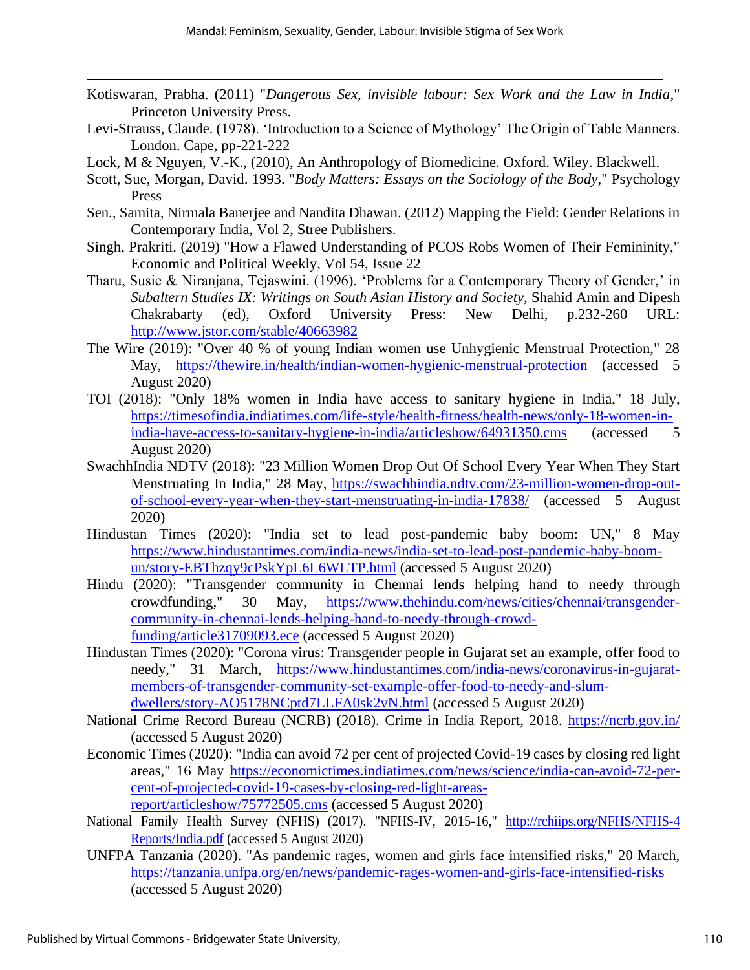- Kotiswaran, Prabha. (2011) "*Dangerous Sex, invisible labour: Sex Work and the Law in India*," Princeton University Press.
- Levi-Strauss, Claude. (1978). 'Introduction to a Science of Mythology' The Origin of Table Manners. London. Cape, pp-221-222
- Lock, M & Nguyen, V.-K., (2010), An Anthropology of Biomedicine. Oxford. Wiley. Blackwell.
- Scott, Sue, Morgan, David. 1993. "*Body Matters: Essays on the Sociology of the Body*," Psychology Press
- Sen., Samita, Nirmala Banerjee and Nandita Dhawan. (2012) Mapping the Field: Gender Relations in Contemporary India, Vol 2, Stree Publishers.
- Singh, Prakriti. (2019) "How a Flawed Understanding of PCOS Robs Women of Their Femininity," Economic and Political Weekly, Vol 54, Issue 22
- Tharu, Susie & Niranjana, Tejaswini. (1996). 'Problems for a Contemporary Theory of Gender,' in *Subaltern Studies IX: Writings on South Asian History and Society,* Shahid Amin and Dipesh Chakrabarty (ed), Oxford University Press: New Delhi, p.232-260 URL: <http://www.jstor.com/stable/40663982>
- The Wire (2019): "Over 40 % of young Indian women use Unhygienic Menstrual Protection," 28 May, <https://thewire.in/health/indian-women-hygienic-menstrual-protection> (accessed 5 August 2020)
- TOI (2018): "Only 18% women in India have access to sanitary hygiene in India," 18 July, [https://timesofindia.indiatimes.com/life-style/health-fitness/health-news/only-18-women-in](https://timesofindia.indiatimes.com/life-style/health-fitness/health-news/only-18-women-in-india-have-access-to-sanitary-hygiene-in-india/articleshow/64931350.cms)[india-have-access-to-sanitary-hygiene-in-india/articleshow/64931350.cms](https://timesofindia.indiatimes.com/life-style/health-fitness/health-news/only-18-women-in-india-have-access-to-sanitary-hygiene-in-india/articleshow/64931350.cms) (accessed 5 August 2020)
- SwachhIndia NDTV (2018): "23 Million Women Drop Out Of School Every Year When They Start Menstruating In India," 28 May, [https://swachhindia.ndtv.com/23-million-women-drop-out](https://swachhindia.ndtv.com/23-million-women-drop-out-of-school-every-year-when-they-start-menstruating-in-india-17838/)[of-school-every-year-when-they-start-menstruating-in-india-17838/](https://swachhindia.ndtv.com/23-million-women-drop-out-of-school-every-year-when-they-start-menstruating-in-india-17838/) (accessed 5 August 2020)
- Hindustan Times (2020): "India set to lead post-pandemic baby boom: UN," 8 May [https://www.hindustantimes.com/india-news/india-set-to-lead-post-pandemic-baby-boom](https://www.hindustantimes.com/india-news/india-set-to-lead-post-pandemic-baby-boom-un/story-EBThzqy9cPskYpL6L6WLTP.html)[un/story-EBThzqy9cPskYpL6L6WLTP.html](https://www.hindustantimes.com/india-news/india-set-to-lead-post-pandemic-baby-boom-un/story-EBThzqy9cPskYpL6L6WLTP.html) (accessed 5 August 2020)
- Hindu (2020): "Transgender community in Chennai lends helping hand to needy through crowdfunding," 30 May, [https://www.thehindu.com/news/cities/chennai/transgender](https://www.thehindu.com/news/cities/chennai/transgender-community-in-chennai-lends-helping-hand-to-needy-through-crowd-funding/article31709093.ece)[community-in-chennai-lends-helping-hand-to-needy-through-crowd](https://www.thehindu.com/news/cities/chennai/transgender-community-in-chennai-lends-helping-hand-to-needy-through-crowd-funding/article31709093.ece)[funding/article31709093.ece](https://www.thehindu.com/news/cities/chennai/transgender-community-in-chennai-lends-helping-hand-to-needy-through-crowd-funding/article31709093.ece) (accessed 5 August 2020)
- Hindustan Times (2020): "Corona virus: Transgender people in Gujarat set an example, offer food to needy," 31 March, [https://www.hindustantimes.com/india-news/coronavirus-in-gujarat](https://www.hindustantimes.com/india-news/coronavirus-in-gujarat-members-of-transgender-community-set-example-offer-food-to-needy-and-slum-dwellers/story-AO5178NCptd7LLFA0sk2vN.html)[members-of-transgender-community-set-example-offer-food-to-needy-and-slum](https://www.hindustantimes.com/india-news/coronavirus-in-gujarat-members-of-transgender-community-set-example-offer-food-to-needy-and-slum-dwellers/story-AO5178NCptd7LLFA0sk2vN.html)[dwellers/story-AO5178NCptd7LLFA0sk2vN.html](https://www.hindustantimes.com/india-news/coronavirus-in-gujarat-members-of-transgender-community-set-example-offer-food-to-needy-and-slum-dwellers/story-AO5178NCptd7LLFA0sk2vN.html) (accessed 5 August 2020)
- National Crime Record Bureau (NCRB) (2018). Crime in India Report, 2018.<https://ncrb.gov.in/> (accessed 5 August 2020)
- Economic Times (2020): "India can avoid 72 per cent of projected Covid-19 cases by closing red light areas," 16 May [https://economictimes.indiatimes.com/news/science/india-can-avoid-72-per](https://economictimes.indiatimes.com/news/science/india-can-avoid-72-per-cent-of-projected-covid-19-cases-by-closing-red-light-areas-report/articleshow/75772505.cms)[cent-of-projected-covid-19-cases-by-closing-red-light-areas](https://economictimes.indiatimes.com/news/science/india-can-avoid-72-per-cent-of-projected-covid-19-cases-by-closing-red-light-areas-report/articleshow/75772505.cms)[report/articleshow/75772505.cms](https://economictimes.indiatimes.com/news/science/india-can-avoid-72-per-cent-of-projected-covid-19-cases-by-closing-red-light-areas-report/articleshow/75772505.cms) (accessed 5 August 2020)
- National Family Health Survey (NFHS) (2017). "NFHS-IV, 2015-16," http://rchiips.org/NFHS/NFHS-4 [Reports/India.pdf](http://rchiips.org/NFHS/NFHS-4%20Reports/India.pdf) (accessed 5 August 2020)
- UNFPA Tanzania (2020). "As pandemic rages, women and girls face intensified risks," 20 March, <https://tanzania.unfpa.org/en/news/pandemic-rages-women-and-girls-face-intensified-risks> (accessed 5 August 2020)